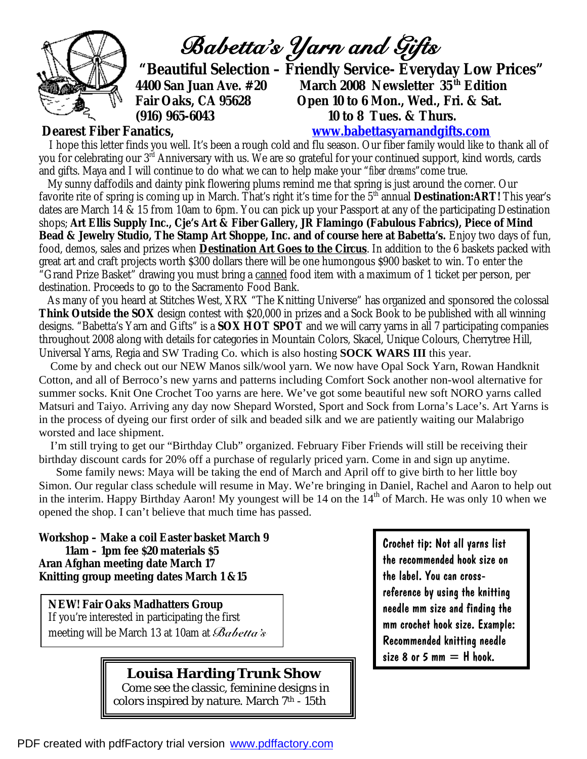

*Babetta's Yarn and Gifts* 

 **"Beautiful Selection – Friendly Service- Everyday Low Prices" 4400 San Juan Ave. #20 March 2008 Newsletter 35th Edition Open 10 to 6 Mon., Wed., Fri. & Sat. (916) 965-6043 10 to 8 Tues. & Thurs.** 

## **Dearest Fiber Fanatics, [www.babettasyarnandgifts.com](http://www.babettasyarnandgifts.com)**

I hope this letter finds you well. It's been a rough cold and flu season. Our fiber family would like to thank all of you for celebrating our 3<sup>rd</sup> Anniversary with us. We are so grateful for your continued support, kind words, cards and gifts. Maya and I will continue to do what we can to help make your "*fiber dreams*"come true.

 My sunny daffodils and dainty pink flowering plums remind me that spring is just around the corner. Our favorite rite of spring is coming up in March. That's right it's time for the 5<sup>th</sup> annual **Destination:ART!** This year's dates are March 14 & 15 from 10am to 6pm. You can pick up your Passport at any of the participating Destination shops; **Art Ellis Supply Inc., Cje's Art & Fiber Gallery, JR Flamingo (Fabulous Fabrics), Piece of Mind Bead & Jewelry Studio, The Stamp Art Shoppe, Inc. and of course here at Babetta's.** Enjoy two days of fun, food, demos, sales and prizes when **Destination Art Goes to the Circus**. In addition to the 6 baskets packed with great art and craft projects worth \$300 dollars there will be one humongous \$900 basket to win. To enter the "Grand Prize Basket" drawing you must bring a canned food item with a maximum of 1 ticket per person, per destination. Proceeds to go to the Sacramento Food Bank.

 As many of you heard at Stitches West, XRX "The Knitting Universe" has organized and sponsored the colossal **Think Outside the SOX** design contest with \$20,000 in prizes and a Sock Book to be published with all winning designs. "Babetta's Yarn and Gifts" is a **SOX HOT SPOT** and we will carry yarns in all 7 participating companies throughout 2008 along with details for categories in Mountain Colors, Skacel, Unique Colours, Cherrytree Hill, Universal Yarns, Regia and SW Trading Co. which is also hosting **SOCK WARS III** this year.

 Come by and check out our NEW Manos silk/wool yarn. We now have Opal Sock Yarn, Rowan Handknit Cotton, and all of Berroco's new yarns and patterns including Comfort Sock another non-wool alternative for summer socks. Knit One Crochet Too yarns are here. We've got some beautiful new soft NORO yarns called Matsuri and Taiyo. Arriving any day now Shepard Worsted, Sport and Sock from Lorna's Lace's. Art Yarns is in the process of dyeing our first order of silk and beaded silk and we are patiently waiting our Malabrigo worsted and lace shipment.

 I'm still trying to get our "Birthday Club" organized. February Fiber Friends will still be receiving their birthday discount cards for 20% off a purchase of regularly priced yarn. Come in and sign up anytime.

 Some family news: Maya will be taking the end of March and April off to give birth to her little boy Simon. Our regular class schedule will resume in May. We're bringing in Daniel, Rachel and Aaron to help out in the interim. Happy Birthday Aaron! My youngest will be 14 on the 14<sup>th</sup> of March. He was only 10 when we opened the shop. I can't believe that much time has passed.

**Workshop – Make a coil Easter basket March 9 11am – 1pm fee \$20 materials \$5 Aran Afghan meeting date March 17 Knitting group meeting dates March 1 &15** 

**NEW! Fair Oaks Madhatters Group**  If you're interested in participating the first meeting will be March 13 at 10am at *Babetta's* 

> **Louisa Harding Trunk Show**  Come see the classic, feminine designs in colors inspired by nature. March 7<sup>th</sup> - 15th

Crochet tip: Not all yarns list the recommended hook size on the label. You can crossreference by using the knitting needle mm size and finding the mm crochet hook size. Example: Recommended knitting needle size 8 or 5 mm  $=$  H hook.